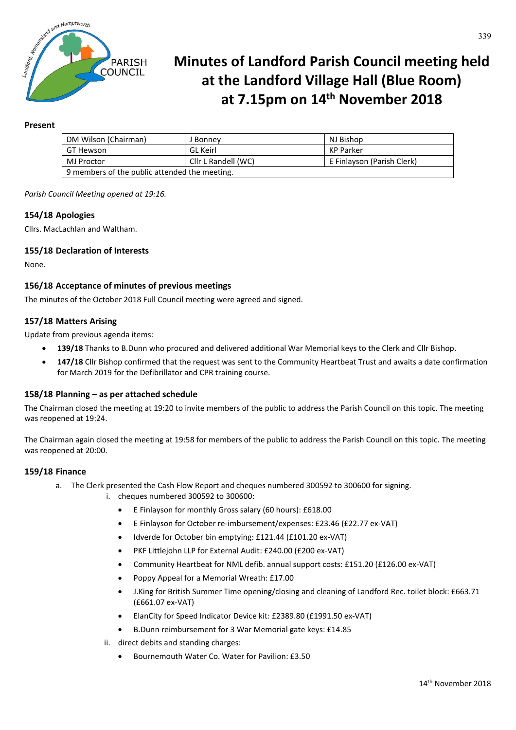

# **Minutes of Landford Parish Council meeting held at the Landford Village Hall (Blue Room) at 7.15pm on 14th November 2018**

# **Present**

| DM Wilson (Chairman)                          | I Bonnev            | NJ Bishop                  |
|-----------------------------------------------|---------------------|----------------------------|
| GT Hewson                                     | GL Keirl            | KP Parker                  |
| MJ Proctor                                    | Cllr L Randell (WC) | E Finlayson (Parish Clerk) |
| 9 members of the public attended the meeting. |                     |                            |

*Parish Council Meeting opened at 19:16.*

# **154/18 Apologies**

Cllrs. MacLachlan and Waltham.

# **155/18 Declaration of Interests**

None.

# **156/18 Acceptance of minutes of previous meetings**

The minutes of the October 2018 Full Council meeting were agreed and signed.

## **157/18 Matters Arising**

Update from previous agenda items:

- **139/18** Thanks to B.Dunn who procured and delivered additional War Memorial keys to the Clerk and Cllr Bishop.
- **147/18** Cllr Bishop confirmed that the request was sent to the Community Heartbeat Trust and awaits a date confirmation for March 2019 for the Defibrillator and CPR training course.

## **158/18 Planning – as per attached schedule**

The Chairman closed the meeting at 19:20 to invite members of the public to address the Parish Council on this topic. The meeting was reopened at 19:24.

The Chairman again closed the meeting at 19:58 for members of the public to address the Parish Council on this topic. The meeting was reopened at 20:00.

## **159/18 Finance**

- a. The Clerk presented the Cash Flow Report and cheques numbered 300592 to 300600 for signing.
	- i. cheques numbered 300592 to 300600:
		- E Finlayson for monthly Gross salary (60 hours): £618.00
		- E Finlayson for October re-imbursement/expenses: £23.46 (£22.77 ex-VAT)
		- Idverde for October bin emptying: £121.44 (£101.20 ex-VAT)
		- PKF Littlejohn LLP for External Audit: £240.00 (£200 ex-VAT)
		- Community Heartbeat for NML defib. annual support costs: £151.20 (£126.00 ex-VAT)
		- Poppy Appeal for a Memorial Wreath: £17.00
		- J.King for British Summer Time opening/closing and cleaning of Landford Rec. toilet block: £663.71 (£661.07 ex-VAT)
		- ElanCity for Speed Indicator Device kit: £2389.80 (£1991.50 ex-VAT)
		- B.Dunn reimbursement for 3 War Memorial gate keys: £14.85
		- ii. direct debits and standing charges:
			- Bournemouth Water Co. Water for Pavilion: £3.50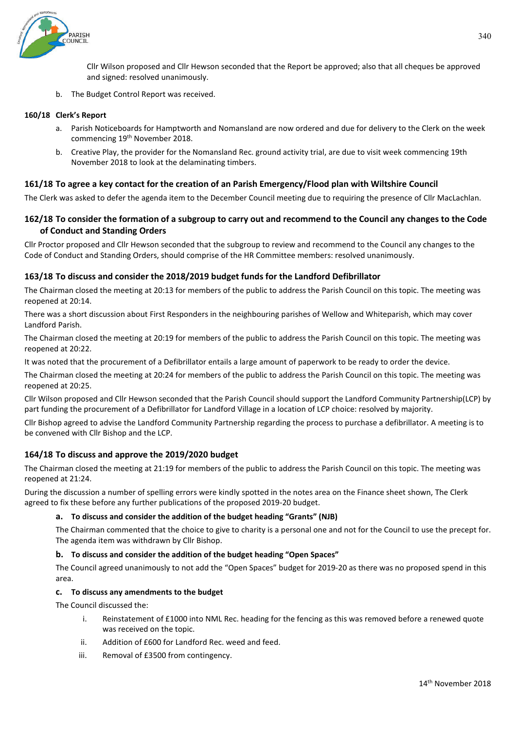

Cllr Wilson proposed and Cllr Hewson seconded that the Report be approved; also that all cheques be approved and signed: resolved unanimously.

b. The Budget Control Report was received.

#### **160/18 Clerk's Report**

- a. Parish Noticeboards for Hamptworth and Nomansland are now ordered and due for delivery to the Clerk on the week commencing 19<sup>th</sup> November 2018.
- b. Creative Play, the provider for the Nomansland Rec. ground activity trial, are due to visit week commencing 19th November 2018 to look at the delaminating timbers.

## **161/18 To agree a key contact for the creation of an Parish Emergency/Flood plan with Wiltshire Council**

The Clerk was asked to defer the agenda item to the December Council meeting due to requiring the presence of Cllr MacLachlan.

# **162/18 To consider the formation of a subgroup to carry out and recommend to the Council any changes to the Code of Conduct and Standing Orders**

Cllr Proctor proposed and Cllr Hewson seconded that the subgroup to review and recommend to the Council any changes to the Code of Conduct and Standing Orders, should comprise of the HR Committee members: resolved unanimously.

## **163/18 To discuss and consider the 2018/2019 budget funds for the Landford Defibrillator**

The Chairman closed the meeting at 20:13 for members of the public to address the Parish Council on this topic. The meeting was reopened at 20:14.

There was a short discussion about First Responders in the neighbouring parishes of Wellow and Whiteparish, which may cover Landford Parish.

The Chairman closed the meeting at 20:19 for members of the public to address the Parish Council on this topic. The meeting was reopened at 20:22.

It was noted that the procurement of a Defibrillator entails a large amount of paperwork to be ready to order the device.

The Chairman closed the meeting at 20:24 for members of the public to address the Parish Council on this topic. The meeting was reopened at 20:25.

Cllr Wilson proposed and Cllr Hewson seconded that the Parish Council should support the Landford Community Partnership(LCP) by part funding the procurement of a Defibrillator for Landford Village in a location of LCP choice: resolved by majority.

Cllr Bishop agreed to advise the Landford Community Partnership regarding the process to purchase a defibrillator. A meeting is to be convened with Cllr Bishop and the LCP.

## **164/18 To discuss and approve the 2019/2020 budget**

The Chairman closed the meeting at 21:19 for members of the public to address the Parish Council on this topic. The meeting was reopened at 21:24.

During the discussion a number of spelling errors were kindly spotted in the notes area on the Finance sheet shown, The Clerk agreed to fix these before any further publications of the proposed 2019-20 budget.

## **a. To discuss and consider the addition of the budget heading "Grants" (NJB)**

The Chairman commented that the choice to give to charity is a personal one and not for the Council to use the precept for. The agenda item was withdrawn by Cllr Bishop.

#### **b. To discuss and consider the addition of the budget heading "Open Spaces"**

The Council agreed unanimously to not add the "Open Spaces" budget for 2019-20 as there was no proposed spend in this area.

#### **c. To discuss any amendments to the budget**

The Council discussed the:

- i. Reinstatement of £1000 into NML Rec. heading for the fencing as this was removed before a renewed quote was received on the topic.
- ii. Addition of £600 for Landford Rec. weed and feed.
- iii. Removal of £3500 from contingency.